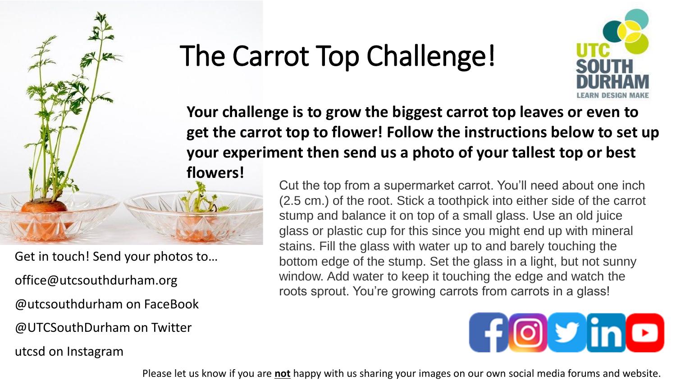

Get in touch! Send your photos to… office@utcsouthdurham.org @utcsouthdurham on FaceBook @UTCSouthDurham on Twitter utcsd on Instagram

## The Carrot Top Challenge!



**Your challenge is to grow the biggest carrot top leaves or even to get the carrot top to flower! Follow the instructions below to set up your experiment then send us a photo of your tallest top or best flowers!**

> Cut the top from a supermarket carrot. You'll need about one inch (2.5 cm.) of the root. Stick a toothpick into either side of the carrot stump and balance it on top of a small glass. Use an old juice glass or plastic cup for this since you might end up with mineral stains. Fill the glass with water up to and barely touching the bottom edge of the stump. Set the glass in a light, but not sunny window. Add water to keep it touching the edge and watch the roots sprout. You're growing carrots from carrots in a glass!



Please let us know if you are **not** happy with us sharing your images on our own social media forums and website.